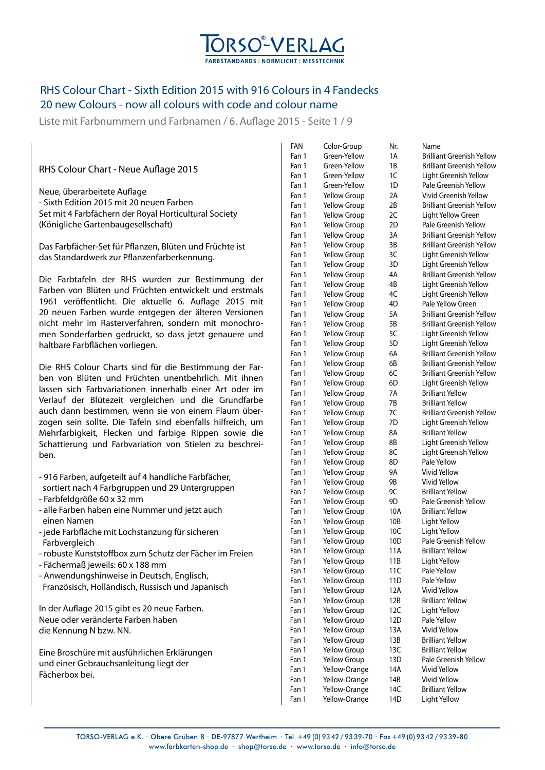

Liste mit Farbnummern und Farbnamen / 6. Auflage 2015 - Seite 1 / 9

#### RHS Colour Chart - Neue Auflage 2015

Neue, überarbeitete Auflage - Sixth Edition 2015 mit 20 neuen Farben Set mit 4 Farbfächern der Royal Horticultural Society (Königliche Gartenbaugesellschaft)

Das Farbfächer-Set für Pflanzen, Blüten und Früchte ist das Standardwerk zur Pflanzenfarberkennung.

Die Farbtafeln der RHS wurden zur Bestimmung der Farben von Blüten und Früchten entwickelt und erstmals 1961 veröffentlicht. Die aktuelle 6. Auflage 2015 mit 20 neuen Farben wurde entgegen der älteren Versionen nicht mehr im Rasterverfahren, sondern mit monochromen Sonderfarben gedruckt, so dass jetzt genauere und haltbare Farbflächen vorliegen.

Die RHS Colour Charts sind für die Bestimmung der Farben von Blüten und Früchten unentbehrlich. Mit ihnen lassen sich Farbvariationen innerhalb einer Art oder im Verlauf der Blütezeit vergleichen und die Grundfarbe auch dann bestimmen, wenn sie von einem Flaum überzogen sein sollte. Die Tafeln sind ebenfalls hilfreich, um Mehrfarbigkeit, Flecken und farbige Rippen sowie die Schattierung und Farbvariation von Stielen zu beschreiben.

- 916 Farben, aufgeteilt auf 4 handliche Farbfächer, sortiert nach 4 Farbgruppen und 29 Untergruppen
- Farbfeldgröße 60 x 32 mm
- alle Farben haben eine Nummer und jetzt auch einen Namen
- jede Farbfläche mit Lochstanzung für sicheren Farbvergleich
- robuste Kunststoffbox zum Schutz der Fächer im Freien
- Fächermaß jeweils: 60 x 188 mm
- Anwendungshinweise in Deutsch, Englisch,
- Französisch, Holländisch, Russisch und Japanisch

In der Auflage 2015 gibt es 20 neue Farben. Neue oder veränderte Farben haben die Kennung N bzw. NN.

Eine Broschüre mit ausführlichen Erklärungen und einer Gebrauchsanleitung liegt der Fächerbox bei.

| FAN   | Color-Group         | Nr.             | Name                             |
|-------|---------------------|-----------------|----------------------------------|
| Fan 1 | Green-Yellow        | 1A              | Brilliant Greenish Yellow        |
| Fan 1 | Green-Yellow        | 1B              | <b>Brilliant Greenish Yellow</b> |
| Fan 1 | Green-Yellow        | 1C              | Light Greenish Yellow            |
| Fan 1 | Green-Yellow        | 1D              | Pale Greenish Yellow             |
| Fan 1 | <b>Yellow Group</b> | 2Α              | Vivid Greenish Yellow            |
| Fan 1 | <b>Yellow Group</b> | 2B              | <b>Brilliant Greenish Yellow</b> |
| Fan 1 | <b>Yellow Group</b> | 2C              | Light Yellow Green               |
| Fan 1 | <b>Yellow Group</b> | 2D              | Pale Greenish Yellow             |
| Fan 1 | Yellow Group        | 3A              | <b>Brilliant Greenish Yellow</b> |
| Fan 1 | Yellow Group        | 3B              | <b>Brilliant Greenish Yellow</b> |
| Fan 1 | <b>Yellow Group</b> | 3C              | Light Greenish Yellow            |
| Fan 1 | <b>Yellow Group</b> | 3D              | Light Greenish Yellow            |
| Fan 1 | <b>Yellow Group</b> | 4A              | <b>Brilliant Greenish Yellow</b> |
| Fan 1 | <b>Yellow Group</b> | 4B              | Light Greenish Yellow            |
| Fan 1 | <b>Yellow Group</b> | 4C              | Light Greenish Yellow            |
| Fan 1 | <b>Yellow Group</b> | 4D              | Pale Yellow Green                |
| Fan 1 | <b>Yellow Group</b> | 5A              | <b>Brilliant Greenish Yellow</b> |
| Fan 1 | <b>Yellow Group</b> | 5Β              | <b>Brilliant Greenish Yellow</b> |
| Fan 1 | <b>Yellow Group</b> | 5C              | Light Greenish Yellow            |
| Fan 1 | <b>Yellow Group</b> | 5D              | Light Greenish Yellow            |
| Fan 1 | <b>Yellow Group</b> | 6A              | Brilliant Greenish Yellow        |
| Fan 1 | <b>Yellow Group</b> | 6B              | Brilliant Greenish Yellow        |
| Fan 1 | <b>Yellow Group</b> | 6C              | Brilliant Greenish Yellow        |
| Fan 1 | <b>Yellow Group</b> | 6D              | Light Greenish Yellow            |
| Fan 1 | <b>Yellow Group</b> | 7A              | <b>Brilliant Yellow</b>          |
| Fan 1 | <b>Yellow Group</b> | 7В              | <b>Brilliant Yellow</b>          |
| Fan 1 | <b>Yellow Group</b> | 7C              | Brilliant Greenish Yellow        |
| Fan 1 | <b>Yellow Group</b> | 7D              | Light Greenish Yellow            |
| Fan 1 | <b>Yellow Group</b> | 8Α              | <b>Brilliant Yellow</b>          |
| Fan 1 | <b>Yellow Group</b> | 8Β              | Light Greenish Yellow            |
| Fan 1 | <b>Yellow Group</b> | 8C              | Light Greenish Yellow            |
| Fan 1 | <b>Yellow Group</b> | 8D              | Pale Yellow                      |
| Fan 1 | <b>Yellow Group</b> | 9A              | <b>Vivid Yellow</b>              |
| Fan 1 | <b>Yellow Group</b> | 9B              | Vivid Yellow                     |
| Fan 1 | Yellow Group        | 9C              | <b>Brilliant Yellow</b>          |
| Fan 1 | <b>Yellow Group</b> | 9D              | Pale Greenish Yellow             |
| Fan 1 | <b>Yellow Group</b> | 10A             | <b>Brilliant Yellow</b>          |
| Fan 1 | <b>Yellow Group</b> | 10B             | Light Yellow                     |
| Fan 1 | <b>Yellow Group</b> | 10C             | Light Yellow                     |
| Fan 1 | <b>Yellow Group</b> | 10 <sub>D</sub> | Pale Greenish Yellow             |
| Fan 1 | <b>Yellow Group</b> | 11A             | <b>Brilliant Yellow</b>          |
| Fan 1 | <b>Yellow Group</b> | 11B             | Light Yellow                     |
| Fan 1 | <b>Yellow Group</b> | 11C             | Pale Yellow                      |
| Fan 1 | <b>Yellow Group</b> | 11D             | Pale Yellow                      |
| Fan 1 | <b>Yellow Group</b> | 12A             | Vivid Yellow                     |
| Fan 1 | <b>Yellow Group</b> | 12B             | <b>Brilliant Yellow</b>          |
| Fan 1 | <b>Yellow Group</b> | 12C             | Light Yellow                     |
| Fan 1 | <b>Yellow Group</b> | 12D             | Pale Yellow                      |
| Fan 1 | <b>Yellow Group</b> | 13A             | <b>Vivid Yellow</b>              |
| Fan 1 | <b>Yellow Group</b> | 13B             | <b>Brilliant Yellow</b>          |
| Fan 1 | <b>Yellow Group</b> | 13C             | <b>Brilliant Yellow</b>          |
| Fan 1 | <b>Yellow Group</b> | 13D             | Pale Greenish Yellow             |
| Fan 1 | Yellow-Orange       | 14A             | Vivid Yellow                     |
| Fan 1 | Yellow-Orange       | 14B             | <b>Vivid Yellow</b>              |
| Fan 1 | Yellow-Orange       | 14C             | <b>Brilliant Yellow</b>          |
| Fan 1 | Yellow-Orange       | 14D             | Light Yellow                     |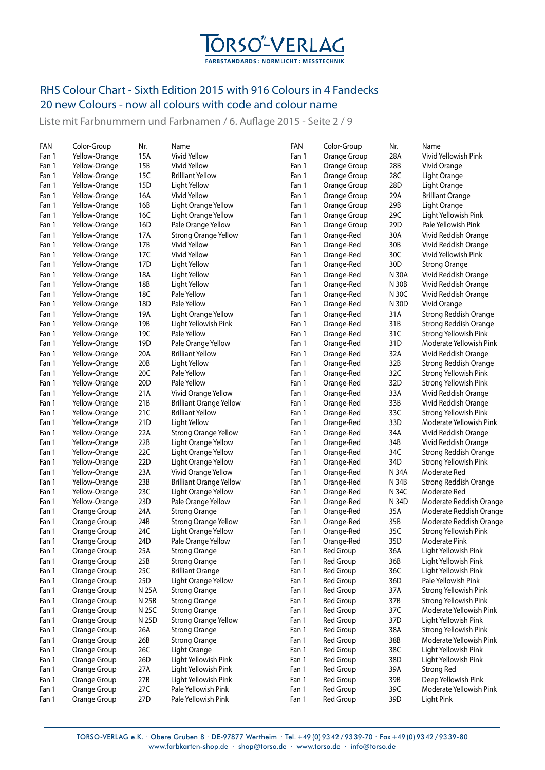

Liste mit Farbnummern und Farbnamen / 6. Auflage 2015 - Seite 2 / 9

| FAN   | Color-Group   | Nr.             | Name                           | FAN   | Color-Group      | Nr.          | Name                         |
|-------|---------------|-----------------|--------------------------------|-------|------------------|--------------|------------------------------|
| Fan 1 | Yellow-Orange | 15A             | <b>Vivid Yellow</b>            | Fan 1 | Orange Group     | 28A          | Vivid Yellowish Pink         |
| Fan 1 | Yellow-Orange | 15B             | Vivid Yellow                   | Fan 1 | Orange Group     | 28B          | Vivid Orange                 |
| Fan 1 | Yellow-Orange | 15C             | <b>Brilliant Yellow</b>        | Fan 1 | Orange Group     | 28C          | Light Orange                 |
| Fan 1 | Yellow-Orange | 15D             | Light Yellow                   | Fan 1 | Orange Group     | 28D          | Light Orange                 |
| Fan 1 | Yellow-Orange | 16A             | Vivid Yellow                   | Fan 1 | Orange Group     | 29A          | <b>Brilliant Orange</b>      |
| Fan 1 | Yellow-Orange | 16B             | Light Orange Yellow            | Fan 1 | Orange Group     | 29B          | Light Orange                 |
| Fan 1 | Yellow-Orange | 16C             | Light Orange Yellow            | Fan 1 | Orange Group     | 29C          | Light Yellowish Pink         |
| Fan 1 | Yellow-Orange | 16D             | Pale Orange Yellow             | Fan 1 | Orange Group     | 29D          | Pale Yellowish Pink          |
| Fan 1 | Yellow-Orange | 17A             | <b>Strong Orange Yellow</b>    | Fan 1 | Orange-Red       | 30A          | Vivid Reddish Orange         |
| Fan 1 | Yellow-Orange | 17B             | Vivid Yellow                   | Fan 1 | Orange-Red       | 30B          | Vivid Reddish Orange         |
| Fan 1 | Yellow-Orange | 17C             | <b>Vivid Yellow</b>            | Fan 1 | Orange-Red       | 30C          | Vivid Yellowish Pink         |
| Fan 1 | Yellow-Orange | 17D             | Light Yellow                   | Fan 1 | Orange-Red       | 30D          | <b>Strong Orange</b>         |
| Fan 1 | Yellow-Orange | 18A             | Light Yellow                   | Fan 1 | Orange-Red       | N 30A        | Vivid Reddish Orange         |
| Fan 1 | Yellow-Orange | 18B             | Light Yellow                   | Fan 1 | Orange-Red       | <b>N 30B</b> | Vivid Reddish Orange         |
| Fan 1 | Yellow-Orange | 18C             | Pale Yellow                    | Fan 1 | Orange-Red       | N 30C        | Vivid Reddish Orange         |
| Fan 1 | Yellow-Orange | 18D             | Pale Yellow                    | Fan 1 | Orange-Red       | N 30D        | Vivid Orange                 |
| Fan 1 | Yellow-Orange | 19A             | Light Orange Yellow            | Fan 1 | Orange-Red       | 31A          | <b>Strong Reddish Orange</b> |
| Fan 1 | Yellow-Orange | 19B             | Light Yellowish Pink           | Fan 1 | Orange-Red       | 31B          | Strong Reddish Orange        |
| Fan 1 | Yellow-Orange | 19C             | Pale Yellow                    | Fan 1 | Orange-Red       | 31C          | Strong Yellowish Pink        |
| Fan 1 | Yellow-Orange | 19D             | Pale Orange Yellow             | Fan 1 | Orange-Red       | 31D          | Moderate Yellowish Pink      |
| Fan 1 | Yellow-Orange | 20A             | <b>Brilliant Yellow</b>        | Fan 1 | Orange-Red       | 32A          | Vivid Reddish Orange         |
| Fan 1 | Yellow-Orange | 20B             | Light Yellow                   | Fan 1 | Orange-Red       | 32B          | <b>Strong Reddish Orange</b> |
| Fan 1 | Yellow-Orange | 20C             | Pale Yellow                    | Fan 1 | Orange-Red       | 32C          | Strong Yellowish Pink        |
| Fan 1 | Yellow-Orange | 20 <sub>D</sub> | Pale Yellow                    | Fan 1 | Orange-Red       | 32D          | Strong Yellowish Pink        |
| Fan 1 | Yellow-Orange | 21A             | Vivid Orange Yellow            | Fan 1 | Orange-Red       | 33A          | Vivid Reddish Orange         |
| Fan 1 | Yellow-Orange | 21B             | <b>Brilliant Orange Yellow</b> | Fan 1 | Orange-Red       | 33B          | Vivid Reddish Orange         |
| Fan 1 | Yellow-Orange | 21C             | <b>Brilliant Yellow</b>        | Fan 1 | Orange-Red       | 33C          | Strong Yellowish Pink        |
| Fan 1 | Yellow-Orange | 21D             | Light Yellow                   | Fan 1 | Orange-Red       | 33D          | Moderate Yellowish Pink      |
| Fan 1 | Yellow-Orange | 22A             | <b>Strong Orange Yellow</b>    | Fan 1 | Orange-Red       | 34A          | Vivid Reddish Orange         |
| Fan 1 | Yellow-Orange | 22B             | Light Orange Yellow            | Fan 1 | Orange-Red       | 34B          | Vivid Reddish Orange         |
| Fan 1 | Yellow-Orange | 22C             | Light Orange Yellow            | Fan 1 | Orange-Red       | 34C          | <b>Strong Reddish Orange</b> |
| Fan 1 | Yellow-Orange | 22D             | Light Orange Yellow            | Fan 1 | Orange-Red       | 34D          | Strong Yellowish Pink        |
| Fan 1 | Yellow-Orange | 23A             | Vivid Orange Yellow            | Fan 1 | Orange-Red       | N 34A        | Moderate Red                 |
| Fan 1 | Yellow-Orange | 23B             | <b>Brilliant Orange Yellow</b> | Fan 1 | Orange-Red       | N 34B        | Strong Reddish Orange        |
| Fan 1 | Yellow-Orange | 23C             | Light Orange Yellow            | Fan 1 | Orange-Red       | N 34C        | Moderate Red                 |
| Fan 1 | Yellow-Orange | 23D             | Pale Orange Yellow             | Fan 1 | Orange-Red       | N 34D        | Moderate Reddish Orange      |
| Fan 1 | Orange Group  | 24A             | <b>Strong Orange</b>           | Fan 1 | Orange-Red       | 35A          | Moderate Reddish Orange      |
| Fan 1 | Orange Group  | 24B             | <b>Strong Orange Yellow</b>    | Fan 1 | Orange-Red       | 35B          | Moderate Reddish Orange      |
| Fan 1 | Orange Group  | 24C             | Light Orange Yellow            | Fan 1 | Orange-Red       | 35C          | Strong Yellowish Pink        |
| Fan 1 | Orange Group  | 24D             | Pale Orange Yellow             | Fan 1 | Orange-Red       | 35D          | Moderate Pink                |
| Fan 1 | Orange Group  | 25A             | <b>Strong Orange</b>           | Fan 1 | Red Group        | 36A          | Light Yellowish Pink         |
| Fan 1 | Orange Group  | 25B             | <b>Strong Orange</b>           | Fan 1 | Red Group        | 36B          | Light Yellowish Pink         |
| Fan 1 | Orange Group  | 25C             | <b>Brilliant Orange</b>        | Fan 1 | Red Group        | 36C          | Light Yellowish Pink         |
| Fan 1 | Orange Group  | 25D             | Light Orange Yellow            | Fan 1 | Red Group        | 36D          | Pale Yellowish Pink          |
| Fan 1 | Orange Group  | N 25A           | <b>Strong Orange</b>           | Fan 1 | <b>Red Group</b> | 37A          | <b>Strong Yellowish Pink</b> |
| Fan 1 | Orange Group  | N 25B           | <b>Strong Orange</b>           | Fan 1 | Red Group        | 37B          | Strong Yellowish Pink        |
| Fan 1 | Orange Group  | N 25C           | <b>Strong Orange</b>           | Fan 1 | Red Group        | 37C          | Moderate Yellowish Pink      |
| Fan 1 | Orange Group  | N 25D           | <b>Strong Orange Yellow</b>    | Fan 1 | Red Group        | 37D          | Light Yellowish Pink         |
| Fan 1 | Orange Group  | 26A             | <b>Strong Orange</b>           | Fan 1 | <b>Red Group</b> | 38A          | Strong Yellowish Pink        |
| Fan 1 | Orange Group  | 26B             | <b>Strong Orange</b>           | Fan 1 | Red Group        | 38B          | Moderate Yellowish Pink      |
| Fan 1 | Orange Group  | 26C             | Light Orange                   | Fan 1 | Red Group        | 38C          | Light Yellowish Pink         |
| Fan 1 | Orange Group  | 26D             | Light Yellowish Pink           | Fan 1 | Red Group        | 38D          | Light Yellowish Pink         |
| Fan 1 | Orange Group  | 27A             | Light Yellowish Pink           | Fan 1 | Red Group        | 39A          | <b>Strong Red</b>            |
| Fan 1 | Orange Group  | 27B             | Light Yellowish Pink           | Fan 1 | Red Group        | 39B          | Deep Yellowish Pink          |
| Fan 1 | Orange Group  | 27C             | Pale Yellowish Pink            | Fan 1 | Red Group        | 39C          | Moderate Yellowish Pink      |
| Fan 1 | Orange Group  | 27D             | Pale Yellowish Pink            | Fan 1 | Red Group        | 39D          | Light Pink                   |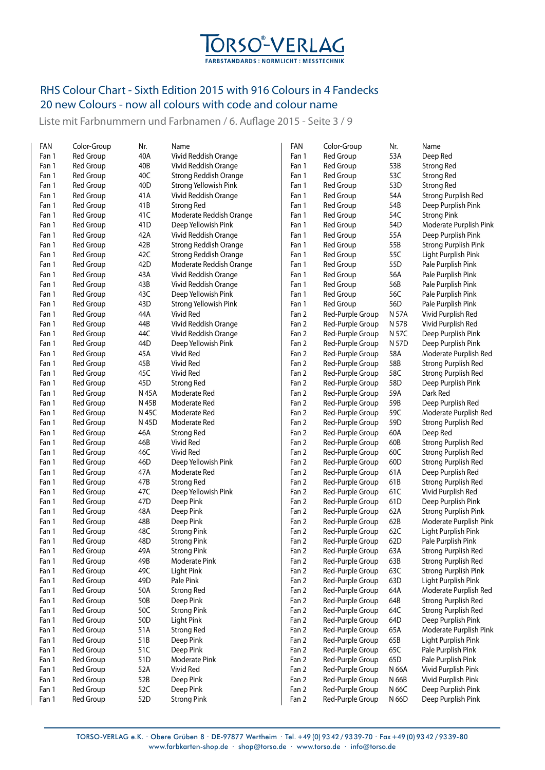

Liste mit Farbnummern und Farbnamen / 6. Auflage 2015 - Seite 3 / 9

| FAN            | Color-Group                   | Nr.        | Name                                | FAN            | Color-Group                          | Nr.        | Name                                                      |
|----------------|-------------------------------|------------|-------------------------------------|----------------|--------------------------------------|------------|-----------------------------------------------------------|
| Fan 1          | <b>Red Group</b>              | 40A        | Vivid Reddish Orange                | Fan 1          | Red Group                            | 53A        | Deep Red                                                  |
| Fan 1          | Red Group                     | 40B        | Vivid Reddish Orange                | Fan 1          | Red Group                            | 53B        | <b>Strong Red</b>                                         |
| Fan 1          | Red Group                     | 40C        | Strong Reddish Orange               | Fan 1          | <b>Red Group</b>                     | 53C        | <b>Strong Red</b>                                         |
| Fan 1          | <b>Red Group</b>              | 40D        | Strong Yellowish Pink               | Fan 1          | Red Group                            | 53D        | <b>Strong Red</b>                                         |
| Fan 1          | <b>Red Group</b>              | 41A        | Vivid Reddish Orange                | Fan 1          | Red Group                            | 54A        | <b>Strong Purplish Red</b>                                |
| Fan 1          | <b>Red Group</b>              | 41B        | <b>Strong Red</b>                   | Fan 1          | Red Group                            | 54B        | Deep Purplish Pink                                        |
| Fan 1          | Red Group                     | 41C        | Moderate Reddish Orange             | Fan 1          | Red Group                            | 54C        | <b>Strong Pink</b>                                        |
| Fan 1          | Red Group                     | 41D        | Deep Yellowish Pink                 | Fan 1          | Red Group                            | 54D        | Moderate Purplish Pink                                    |
| Fan 1          | Red Group                     | 42 A       | Vivid Reddish Orange                | Fan 1          | Red Group                            | 55A        | Deep Purplish Pink                                        |
| Fan 1          | <b>Red Group</b>              | 42B        | <b>Strong Reddish Orange</b>        | Fan 1          | Red Group                            | 55B        | <b>Strong Purplish Pink</b>                               |
| Fan 1          | Red Group                     | 42C        | <b>Strong Reddish Orange</b>        | Fan 1          | Red Group                            | 55C        | Light Purplish Pink                                       |
| Fan 1          | Red Group                     | 42D        | Moderate Reddish Orange             | Fan 1          | Red Group                            | 55D        | Pale Purplish Pink                                        |
| Fan 1          | Red Group                     | 43A        | Vivid Reddish Orange                | Fan 1          | Red Group                            | 56A        | Pale Purplish Pink                                        |
| Fan 1          | Red Group                     | 43B        | Vivid Reddish Orange                | Fan 1          | Red Group                            | 56B        | Pale Purplish Pink                                        |
| Fan 1          | Red Group                     | 43C        | Deep Yellowish Pink                 | Fan 1          | Red Group                            | 56C        | Pale Purplish Pink                                        |
| Fan 1          | Red Group                     | 43D        | Strong Yellowish Pink               | Fan 1          | Red Group                            | 56D        | Pale Purplish Pink                                        |
| Fan 1          | Red Group                     | 44A        | Vivid Red                           | Fan 2          | Red-Purple Group                     | N 57A      | Vivid Purplish Red                                        |
| Fan 1          | <b>Red Group</b>              | 44B        | Vivid Reddish Orange                | Fan 2          | Red-Purple Group                     | N 57B      | Vivid Purplish Red                                        |
| Fan 1          | Red Group                     | 44C        | Vivid Reddish Orange                | Fan 2          | Red-Purple Group                     | N 57C      | Deep Purplish Pink                                        |
| Fan 1          | Red Group                     | 44D        | Deep Yellowish Pink                 | Fan 2          | Red-Purple Group                     | N 57D      | Deep Purplish Pink                                        |
| Fan 1          | Red Group                     | 45A        | Vivid Red                           | Fan 2          | Red-Purple Group                     | 58A        | Moderate Purplish Red                                     |
| Fan 1          | Red Group                     | 45B        | <b>Vivid Red</b>                    | Fan 2          | Red-Purple Group                     | 58B        | Strong Purplish Red                                       |
| Fan 1          | <b>Red Group</b>              | 45C        | <b>Vivid Red</b>                    | Fan 2          | Red-Purple Group                     | 58C        | Strong Purplish Red                                       |
| Fan 1          | <b>Red Group</b>              | 45D        | <b>Strong Red</b>                   | Fan 2          | Red-Purple Group                     | 58D        | Deep Purplish Pink                                        |
| Fan 1          | Red Group                     | N 45A      | Moderate Red                        | Fan 2          | Red-Purple Group                     | 59A        | Dark Red                                                  |
| Fan 1          | Red Group                     | N 45B      | Moderate Red                        | Fan 2          | Red-Purple Group                     | 59B        | Deep Purplish Red                                         |
| Fan 1          | <b>Red Group</b>              | N 45C      | Moderate Red                        | Fan 2          | Red-Purple Group                     | 59C        | Moderate Purplish Red                                     |
| Fan 1          | <b>Red Group</b>              | N 45D      | Moderate Red                        | Fan 2          | Red-Purple Group                     | 59D        | <b>Strong Purplish Red</b>                                |
| Fan 1          | Red Group                     | 46A        |                                     | Fan 2          |                                      | 60A        | Deep Red                                                  |
| Fan 1          | <b>Red Group</b>              | 46B        | <b>Strong Red</b><br>Vivid Red      | Fan 2          | Red-Purple Group                     | 60B        | <b>Strong Purplish Red</b>                                |
| Fan 1          | Red Group                     | 46C        | Vivid Red                           | Fan 2          | Red-Purple Group<br>Red-Purple Group | 60C        | Strong Purplish Red                                       |
|                | <b>Red Group</b>              | 46D        | Deep Yellowish Pink                 | Fan 2          |                                      | 60D        | Strong Purplish Red                                       |
| Fan 1<br>Fan 1 | <b>Red Group</b>              | 47 A       | Moderate Red                        | Fan 2          | Red-Purple Group                     | 61A        |                                                           |
| Fan 1          | Red Group                     | 47B        |                                     | Fan 2          | Red-Purple Group                     | 61B        | Deep Purplish Red                                         |
| Fan 1          | <b>Red Group</b>              | 47C        | <b>Strong Red</b>                   | Fan 2          | Red-Purple Group                     | 61C        | <b>Strong Purplish Red</b>                                |
|                | <b>Red Group</b>              |            | Deep Yellowish Pink                 | Fan 2          | Red-Purple Group                     |            | Vivid Purplish Red<br>Deep Purplish Pink                  |
| Fan 1          |                               | 47D<br>48A | Deep Pink                           | Fan 2          | Red-Purple Group                     | 61D<br>62A |                                                           |
| Fan 1          | Red Group                     |            | Deep Pink                           |                | Red-Purple Group                     |            | <b>Strong Purplish Pink</b>                               |
| Fan 1          | Red Group                     | 48B        | Deep Pink                           | Fan 2<br>Fan 2 | Red-Purple Group                     | 62B        | Moderate Purplish Pink                                    |
| Fan 1          | Red Group                     | 48C<br>48D | <b>Strong Pink</b>                  |                | Red-Purple Group                     | 62C<br>62D | Light Purplish Pink                                       |
| Fan 1          | Red Group                     |            | <b>Strong Pink</b>                  | Fan 2          | Red-Purple Group                     |            | Pale Purplish Pink                                        |
| Fan 1          | Red Group                     | 49A        | <b>Strong Pink</b><br>Moderate Pink | Fan 2          | Red-Purple Group                     | 63A        | <b>Strong Purplish Red</b>                                |
| Fan 1          | Red Group<br><b>Red Group</b> | 49B        |                                     | Fan 2          | Red-Purple Group                     | 63B        | <b>Strong Purplish Red</b><br><b>Strong Purplish Pink</b> |
| Fan 1          |                               | 49C        | Light Pink                          | Fan 2          | Red-Purple Group                     | 63C        |                                                           |
| Fan 1          | Red Group                     | 49D        | Pale Pink                           | Fan 2          | Red-Purple Group                     | 63D        | Light Purplish Pink                                       |
| Fan 1          | Red Group                     | 50A        | <b>Strong Red</b>                   | Fan 2          | Red-Purple Group                     | 64A        | Moderate Purplish Red                                     |
| Fan 1          | Red Group                     | 50B        | Deep Pink                           | Fan 2          | Red-Purple Group                     | 64B        | Strong Purplish Red                                       |
| Fan 1          | <b>Red Group</b>              | 50C        | <b>Strong Pink</b>                  | Fan 2          | Red-Purple Group                     | 64C        | Strong Purplish Red                                       |
| Fan 1          | Red Group                     | 50D        | Light Pink                          | Fan 2          | Red-Purple Group                     | 64D        | Deep Purplish Pink                                        |
| Fan 1          | Red Group                     | 51A        | <b>Strong Red</b>                   | Fan 2          | Red-Purple Group                     | 65A        | Moderate Purplish Pink                                    |
| Fan 1          | <b>Red Group</b>              | 51B        | Deep Pink                           | Fan 2          | Red-Purple Group                     | 65B        | Light Purplish Pink                                       |
| Fan 1          | Red Group                     | 51C        | Deep Pink                           | Fan 2          | Red-Purple Group                     | 65C        | Pale Purplish Pink                                        |
| Fan 1          | Red Group                     | 51D        | <b>Moderate Pink</b>                | Fan 2          | Red-Purple Group                     | 65D        | Pale Purplish Pink                                        |
| Fan 1          | <b>Red Group</b>              | 52A        | Vivid Red                           | Fan 2          | Red-Purple Group                     | N 66A      | Vivid Purplish Pink                                       |
| Fan 1          | Red Group                     | 52B        | Deep Pink                           | Fan 2          | Red-Purple Group                     | N 66B      | Vivid Purplish Pink                                       |
| Fan 1          | Red Group                     | 52C        | Deep Pink                           | Fan 2          | Red-Purple Group                     | N 66C      | Deep Purplish Pink                                        |
| Fan 1          | Red Group                     | 52D        | <b>Strong Pink</b>                  | Fan 2          | Red-Purple Group                     | N 66D      | Deep Purplish Pink                                        |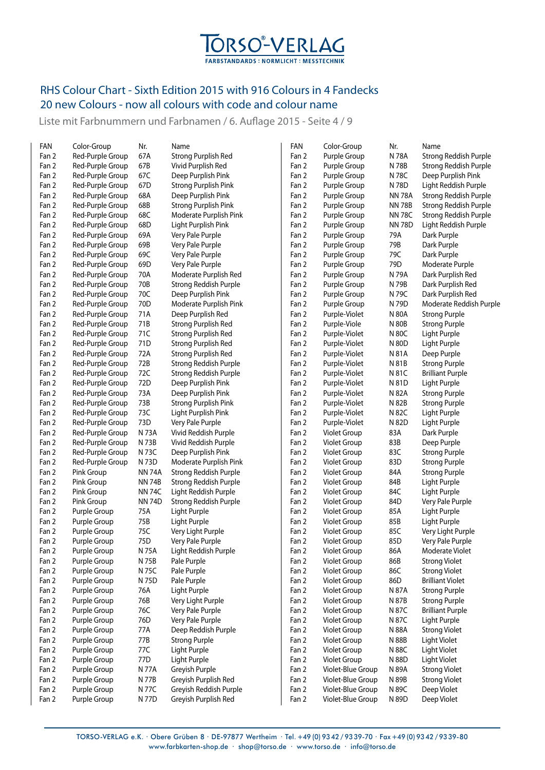

Liste mit Farbnummern und Farbnamen / 6. Auflage 2015 - Seite 4 / 9

| FAN   | Color-Group      | Nr.           | Name                         | FAN   | Color-Group         | Nr.           | Name                    |
|-------|------------------|---------------|------------------------------|-------|---------------------|---------------|-------------------------|
| Fan 2 | Red-Purple Group | 67A           | <b>Strong Purplish Red</b>   | Fan 2 | Purple Group        | N 78A         | Strong Reddish Purple   |
| Fan 2 | Red-Purple Group | 67B           | Vivid Purplish Red           | Fan 2 | Purple Group        | N 78B         | Strong Reddish Purple   |
| Fan 2 | Red-Purple Group | 67C           | Deep Purplish Pink           | Fan 2 | Purple Group        | N 78C         | Deep Purplish Pink      |
| Fan 2 | Red-Purple Group | 67D           | <b>Strong Purplish Pink</b>  | Fan 2 | Purple Group        | N 78D         | Light Reddish Purple    |
| Fan 2 | Red-Purple Group | 68A           | Deep Purplish Pink           | Fan 2 | Purple Group        | <b>NN 78A</b> | Strong Reddish Purple   |
| Fan 2 | Red-Purple Group | 68B           | <b>Strong Purplish Pink</b>  | Fan 2 | Purple Group        | <b>NN 78B</b> | Strong Reddish Purple   |
| Fan 2 | Red-Purple Group | 68C           | Moderate Purplish Pink       | Fan 2 | Purple Group        | <b>NN 78C</b> | Strong Reddish Purple   |
| Fan 2 | Red-Purple Group | 68D           | Light Purplish Pink          | Fan 2 | Purple Group        | <b>NN 78D</b> | Light Reddish Purple    |
| Fan 2 | Red-Purple Group | 69A           | Very Pale Purple             | Fan 2 | Purple Group        | 79A           | Dark Purple             |
| Fan 2 | Red-Purple Group | 69B           | Very Pale Purple             | Fan 2 | Purple Group        | 79B           | Dark Purple             |
| Fan 2 | Red-Purple Group | 69C           | Very Pale Purple             | Fan 2 | Purple Group        | 79C           | Dark Purple             |
| Fan 2 | Red-Purple Group | 69D           | Very Pale Purple             | Fan 2 | Purple Group        | 79D           | Moderate Purple         |
| Fan 2 | Red-Purple Group | 70A           | Moderate Purplish Red        | Fan 2 | Purple Group        | N 79A         | Dark Purplish Red       |
| Fan 2 | Red-Purple Group | 70B           | Strong Reddish Purple        | Fan 2 | Purple Group        | N 79B         | Dark Purplish Red       |
| Fan 2 | Red-Purple Group | 70C           | Deep Purplish Pink           | Fan 2 | Purple Group        | N 79C         | Dark Purplish Red       |
| Fan 2 | Red-Purple Group | 70D           | Moderate Purplish Pink       | Fan 2 | Purple Group        | N 79D         | Moderate Reddish Purple |
| Fan 2 | Red-Purple Group | 71A           | Deep Purplish Red            | Fan 2 | Purple-Violet       | N 80A         | <b>Strong Purple</b>    |
| Fan 2 | Red-Purple Group | 71B           | <b>Strong Purplish Red</b>   | Fan 2 | Purple-Viole        | N 80B         | <b>Strong Purple</b>    |
| Fan 2 | Red-Purple Group | 71C           | Strong Purplish Red          | Fan 2 | Purple-Violet       | N 80C         | Light Purple            |
| Fan 2 | Red-Purple Group | 71D           | Strong Purplish Red          | Fan 2 | Purple-Violet       | N 80D         | Light Purple            |
| Fan 2 | Red-Purple Group | 72A           | <b>Strong Purplish Red</b>   | Fan 2 | Purple-Violet       | N 81A         | Deep Purple             |
| Fan 2 | Red-Purple Group | 72B           | Strong Reddish Purple        | Fan 2 | Purple-Violet       | N 81B         | <b>Strong Purple</b>    |
| Fan 2 | Red-Purple Group | 72C           | Strong Reddish Purple        | Fan 2 | Purple-Violet       | N 81C         | <b>Brilliant Purple</b> |
| Fan 2 | Red-Purple Group | 72D           | Deep Purplish Pink           | Fan 2 | Purple-Violet       | N 81D         | Light Purple            |
| Fan 2 | Red-Purple Group | 73A           | Deep Purplish Pink           | Fan 2 | Purple-Violet       | N 82A         | <b>Strong Purple</b>    |
| Fan 2 | Red-Purple Group | 73B           | <b>Strong Purplish Pink</b>  | Fan 2 | Purple-Violet       | N 82B         | <b>Strong Purple</b>    |
| Fan 2 | Red-Purple Group | 73C           | Light Purplish Pink          | Fan 2 | Purple-Violet       | N 82C         | Light Purple            |
| Fan 2 | Red-Purple Group | 73D           | Very Pale Purple             | Fan 2 | Purple-Violet       | N 82D         | Light Purple            |
| Fan 2 | Red-Purple Group | N 73A         | Vivid Reddish Purple         | Fan 2 | Violet Group        | 83A           | Dark Purple             |
| Fan 2 | Red-Purple Group | N 73B         | Vivid Reddish Purple         | Fan 2 | Violet Group        | 83B           | Deep Purple             |
| Fan 2 | Red-Purple Group | N 73C         | Deep Purplish Pink           | Fan 2 | Violet Group        | 83C           | <b>Strong Purple</b>    |
| Fan 2 | Red-Purple Group | N 73D         | Moderate Purplish Pink       | Fan 2 | Violet Group        | 83D           | <b>Strong Purple</b>    |
| Fan 2 | Pink Group       | <b>NN 74A</b> | <b>Strong Reddish Purple</b> | Fan 2 | Violet Group        | 84A           | <b>Strong Purple</b>    |
| Fan 2 | Pink Group       | <b>NN 74B</b> | Strong Reddish Purple        | Fan 2 | Violet Group        | 84B           | Light Purple            |
| Fan 2 | Pink Group       | <b>NN 74C</b> | Light Reddish Purple         | Fan 2 | Violet Group        | 84C           | Light Purple            |
| Fan 2 | Pink Group       | <b>NN74D</b>  | Strong Reddish Purple        | Fan 2 | Violet Group        | 84D           | Very Pale Purple        |
| Fan 2 | Purple Group     | 75A           | Light Purple                 | Fan 2 | Violet Group        | 85A           | Light Purple            |
| Fan 2 | Purple Group     | 75B           | Light Purple                 | Fan 2 | Violet Group        | 85B           | Light Purple            |
| Fan 2 | Purple Group     | 75C           | Very Light Purple            | Fan 2 | Violet Group        | 85C           | Very Light Purple       |
| Fan 2 | Purple Group     | 75D           | Very Pale Purple             | Fan 2 | <b>Violet Group</b> | 85D           | Very Pale Purple        |
| Fan 2 | Purple Group     | N 75A         | Light Reddish Purple         | Fan 2 | Violet Group        | 86A           | Moderate Violet         |
| Fan 2 | Purple Group     | N 75B         | Pale Purple                  | Fan 2 | Violet Group        | 86B           | <b>Strong Violet</b>    |
| Fan 2 | Purple Group     | N 75C         | Pale Purple                  | Fan 2 | Violet Group        | 86C           | <b>Strong Violet</b>    |
| Fan 2 | Purple Group     | N 75D         | Pale Purple                  | Fan 2 | Violet Group        | 86D           | <b>Brilliant Violet</b> |
| Fan 2 | Purple Group     | 76A           | Light Purple                 | Fan 2 | Violet Group        | N 87A         | <b>Strong Purple</b>    |
| Fan 2 | Purple Group     | 76B           | Very Light Purple            | Fan 2 | Violet Group        | N 87B         | <b>Strong Purple</b>    |
| Fan 2 | Purple Group     | 76C           | Very Pale Purple             | Fan 2 | Violet Group        | N 87C         | <b>Brilliant Purple</b> |
| Fan 2 | Purple Group     | 76D           | Very Pale Purple             | Fan 2 | Violet Group        | N 87C         | Light Purple            |
| Fan 2 | Purple Group     | 77A           | Deep Reddish Purple          | Fan 2 | Violet Group        | N 88A         | <b>Strong Violet</b>    |
| Fan 2 | Purple Group     | 77B           | <b>Strong Purple</b>         | Fan 2 | Violet Group        | N 88B         | Light Violet            |
| Fan 2 | Purple Group     | 77C           | Light Purple                 | Fan 2 | Violet Group        | N 88C         | Light Violet            |
| Fan 2 | Purple Group     | 77D           | Light Purple                 | Fan 2 | Violet Group        | N 88D         | Light Violet            |
| Fan 2 | Purple Group     | N 77A         | Greyish Purple               | Fan 2 | Violet-Blue Group   | N 89A         | <b>Strong Violet</b>    |
| Fan 2 | Purple Group     | N 77B         | Greyish Purplish Red         | Fan 2 | Violet-Blue Group   | N 89B         | <b>Strong Violet</b>    |
| Fan 2 | Purple Group     | N 77C         | Greyish Reddish Purple       | Fan 2 | Violet-Blue Group   | N 89C         | Deep Violet             |
| Fan 2 | Purple Group     | N 77D         | Greyish Purplish Red         | Fan 2 | Violet-Blue Group   | N 89D         | Deep Violet             |
|       |                  |               |                              |       |                     |               |                         |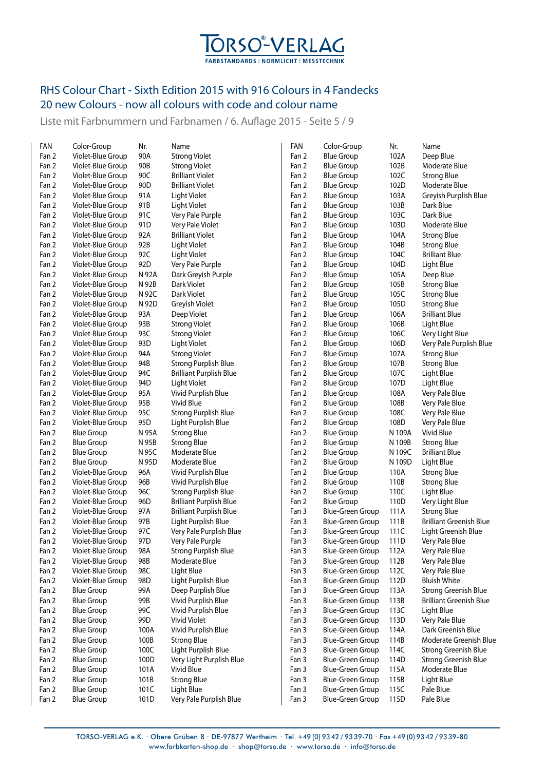

Liste mit Farbnummern und Farbnamen / 6. Auflage 2015 - Seite 5 / 9

| FAN            | Color-Group                            | Nr.             | Name                                            | FAN            | Color-Group                          | Nr.          | Name                                                       |
|----------------|----------------------------------------|-----------------|-------------------------------------------------|----------------|--------------------------------------|--------------|------------------------------------------------------------|
| Fan 2          | Violet-Blue Group                      | 90A             | <b>Strong Violet</b>                            | Fan 2          | <b>Blue Group</b>                    | 102A         | Deep Blue                                                  |
| Fan 2          | Violet-Blue Group                      | 90B             | <b>Strong Violet</b>                            | Fan 2          | <b>Blue Group</b>                    | 102B         | Moderate Blue                                              |
| Fan 2          | Violet-Blue Group                      | 90C             | <b>Brilliant Violet</b>                         | Fan 2          | <b>Blue Group</b>                    | 102C         | <b>Strong Blue</b>                                         |
| Fan 2          | Violet-Blue Group                      | 90 <sub>D</sub> | <b>Brilliant Violet</b>                         | Fan 2          | <b>Blue Group</b>                    | 102D         | Moderate Blue                                              |
| Fan 2          | Violet-Blue Group                      | 91A             | Light Violet                                    | Fan 2          | <b>Blue Group</b>                    | 103A         | Greyish Purplish Blue                                      |
| Fan 2          | Violet-Blue Group                      | 91B             | Light Violet                                    | Fan 2          | <b>Blue Group</b>                    | 103B         | Dark Blue                                                  |
| Fan 2          | Violet-Blue Group                      | 91C             | Very Pale Purple                                | Fan 2          | <b>Blue Group</b>                    | 103C         | Dark Blue                                                  |
| Fan 2          | Violet-Blue Group                      | 91D             | Very Pale Violet                                | Fan 2          | <b>Blue Group</b>                    | 103D         | Moderate Blue                                              |
| Fan 2          | Violet-Blue Group                      | 92A             | <b>Brilliant Violet</b>                         | Fan 2          | <b>Blue Group</b>                    | 104A         | <b>Strong Blue</b>                                         |
| Fan 2          | Violet-Blue Group                      | 92B             | Light Violet                                    | Fan 2          | <b>Blue Group</b>                    | 104B         | <b>Strong Blue</b>                                         |
| Fan 2          | Violet-Blue Group                      | 92C             | <b>Light Violet</b>                             | Fan 2          | <b>Blue Group</b>                    | 104C         | <b>Brilliant Blue</b>                                      |
| Fan 2          | Violet-Blue Group                      | 92D             | Very Pale Purple                                | Fan 2          | <b>Blue Group</b>                    | 104D         | Light Blue                                                 |
| Fan 2          | Violet-Blue Group                      | N 92A           | Dark Greyish Purple                             | Fan 2          | <b>Blue Group</b>                    | 105A         | Deep Blue                                                  |
| Fan 2          | Violet-Blue Group                      | N 92B           | Dark Violet                                     | Fan 2          | <b>Blue Group</b>                    | 105B         | <b>Strong Blue</b>                                         |
| Fan 2          | Violet-Blue Group                      | N 92C           | Dark Violet                                     | Fan 2          | <b>Blue Group</b>                    | 105C         | <b>Strong Blue</b>                                         |
| Fan 2          | Violet-Blue Group                      | N 92D           | Greyish Violet                                  | Fan 2          | <b>Blue Group</b>                    | 105D         | <b>Strong Blue</b>                                         |
| Fan 2          | Violet-Blue Group                      | 93A             | Deep Violet                                     | Fan 2          | <b>Blue Group</b>                    | 106A         | <b>Brilliant Blue</b>                                      |
| Fan 2          | Violet-Blue Group                      | 93B             | <b>Strong Violet</b>                            | Fan 2          | <b>Blue Group</b>                    | 106B         | Light Blue                                                 |
| Fan 2          | Violet-Blue Group                      | 93C             | <b>Strong Violet</b>                            | Fan 2          | <b>Blue Group</b>                    | 106C         | Very Light Blue                                            |
| Fan 2          | Violet-Blue Group                      | 93D             | Light Violet                                    | Fan 2          | <b>Blue Group</b>                    | 106D         | Very Pale Purplish Blue                                    |
| Fan 2          | Violet-Blue Group                      | 94A             | <b>Strong Violet</b>                            | Fan 2          | <b>Blue Group</b>                    | 107A         | <b>Strong Blue</b>                                         |
| Fan 2          | Violet-Blue Group                      | 94B             | <b>Strong Purplish Blue</b>                     | Fan 2          | <b>Blue Group</b>                    | 107B         | <b>Strong Blue</b>                                         |
| Fan 2          | Violet-Blue Group                      | 94C             | <b>Brilliant Purplish Blue</b>                  | Fan 2          | <b>Blue Group</b>                    | 107C         | Light Blue                                                 |
| Fan 2          | Violet-Blue Group                      | 94D             | Light Violet                                    | Fan 2          | <b>Blue Group</b>                    | 107D         | Light Blue                                                 |
| Fan 2          | Violet-Blue Group                      | 95A             | Vivid Purplish Blue                             | Fan 2          | <b>Blue Group</b>                    | 108A         | Very Pale Blue                                             |
| Fan 2          | Violet-Blue Group                      | 95B             | Vivid Blue                                      | Fan 2          | <b>Blue Group</b>                    | 108B         | Very Pale Blue                                             |
| Fan 2          | Violet-Blue Group                      | 95C             | <b>Strong Purplish Blue</b>                     | Fan 2          | <b>Blue Group</b>                    | 108C         | Very Pale Blue                                             |
| Fan 2          | Violet-Blue Group                      | 95D             | Light Purplish Blue                             | Fan 2          | <b>Blue Group</b>                    | 108D         | Very Pale Blue                                             |
| Fan 2          | <b>Blue Group</b>                      | N 95A           | <b>Strong Blue</b>                              | Fan 2          | <b>Blue Group</b>                    | N 109A       | Vivid Blue                                                 |
| Fan 2          | <b>Blue Group</b>                      | N 95B           | <b>Strong Blue</b>                              | Fan 2          | <b>Blue Group</b>                    | N 109B       | <b>Strong Blue</b>                                         |
| Fan 2          | <b>Blue Group</b>                      | N 95C           | Moderate Blue                                   | Fan 2          | <b>Blue Group</b>                    | N 109C       | <b>Brilliant Blue</b>                                      |
| Fan 2          | <b>Blue Group</b>                      | N 95D           | Moderate Blue                                   | Fan 2          | <b>Blue Group</b>                    | N 109D       | Light Blue                                                 |
| Fan 2          | Violet-Blue Group                      | 96A             | Vivid Purplish Blue                             | Fan 2          | <b>Blue Group</b>                    | 110A         | <b>Strong Blue</b>                                         |
| Fan 2          | Violet-Blue Group                      | 96B             | Vivid Purplish Blue                             | Fan 2          | <b>Blue Group</b>                    | 110B         | <b>Strong Blue</b>                                         |
| Fan 2          | Violet-Blue Group                      | 96C             | <b>Strong Purplish Blue</b>                     | Fan 2          | <b>Blue Group</b>                    | 110C         | Light Blue                                                 |
| Fan 2          | Violet-Blue Group                      | 96D             | <b>Brilliant Purplish Blue</b>                  | Fan 2          | <b>Blue Group</b>                    | 110D         | Very Light Blue                                            |
| Fan 2          | Violet-Blue Group                      | 97A             | <b>Brilliant Purplish Blue</b>                  | Fan 3          | <b>Blue-Green Group</b>              | 111A         | <b>Strong Blue</b>                                         |
| Fan 2          | Violet-Blue Group                      | 97B             | Light Purplish Blue                             | Fan 3          | Blue-Green Group                     | 111B         | <b>Brilliant Greenish Blue</b>                             |
| Fan 2          | Violet-Blue Group                      | 97C             | Very Pale Purplish Blue                         | Fan 3          | Blue-Green Group                     | 111C         | Light Greenish Blue                                        |
| Fan 2          | Violet-Blue Group                      | 97D             | Very Pale Purple                                | Fan 3          | Blue-Green Group                     | 111D         | Very Pale Blue                                             |
| Fan 2          | Violet-Blue Group                      | 98A             | <b>Strong Purplish Blue</b>                     | Fan 3          | Blue-Green Group                     | 112A         | Very Pale Blue                                             |
| Fan 2          | Violet-Blue Group                      | 98B             | Moderate Blue                                   | Fan 3          | Blue-Green Group                     | 112B         | Very Pale Blue                                             |
| Fan 2          | Violet-Blue Group                      | 98C             | Light Blue                                      | Fan 3          | <b>Blue-Green Group</b>              | 112C         | Very Pale Blue                                             |
| Fan 2          | Violet-Blue Group                      | 98D             | Light Purplish Blue                             | Fan 3          | Blue-Green Group                     | 112D         | <b>Bluish White</b>                                        |
| Fan 2          | <b>Blue Group</b>                      | 99A             | Deep Purplish Blue                              | Fan 3          | Blue-Green Group                     | 113A         | <b>Strong Greenish Blue</b>                                |
| Fan 2          | <b>Blue Group</b>                      | 99B             | Vivid Purplish Blue                             | Fan 3          | <b>Blue-Green Group</b>              | 113B         | <b>Brilliant Greenish Blue</b>                             |
| Fan 2          | <b>Blue Group</b>                      | 99C             | Vivid Purplish Blue                             | Fan 3          | Blue-Green Group                     | 113C         | Light Blue                                                 |
| Fan 2          | <b>Blue Group</b>                      | 99D             | <b>Vivid Violet</b>                             | Fan 3          | Blue-Green Group                     | 113D         | Very Pale Blue                                             |
| Fan 2          | <b>Blue Group</b>                      | 100A            | Vivid Purplish Blue                             | Fan 3          | Blue-Green Group                     | 114A         | Dark Greenish Blue                                         |
| Fan 2          | <b>Blue Group</b>                      | 100B            | <b>Strong Blue</b>                              | Fan 3          | Blue-Green Group                     | 114B         | Moderate Greenish Blue                                     |
|                |                                        | 100C            |                                                 |                |                                      |              |                                                            |
| Fan 2<br>Fan 2 | <b>Blue Group</b><br><b>Blue Group</b> | 100D            | Light Purplish Blue<br>Very Light Purplish Blue | Fan 3<br>Fan 3 | Blue-Green Group<br>Blue-Green Group | 114C<br>114D | <b>Strong Greenish Blue</b><br><b>Strong Greenish Blue</b> |
| Fan 2          | <b>Blue Group</b>                      | 101A            | Vivid Blue                                      | Fan 3          | Blue-Green Group                     | 115A         | Moderate Blue                                              |
| Fan 2          | <b>Blue Group</b>                      | 101B            | <b>Strong Blue</b>                              | Fan 3          | Blue-Green Group                     | 115B         | Light Blue                                                 |
| Fan 2          | <b>Blue Group</b>                      | 101C            | Light Blue                                      | Fan 3          | Blue-Green Group                     | 115C         | Pale Blue                                                  |
| Fan 2          | <b>Blue Group</b>                      | 101D            | Very Pale Purplish Blue                         | Fan 3          | Blue-Green Group                     | 115D         | Pale Blue                                                  |
|                |                                        |                 |                                                 |                |                                      |              |                                                            |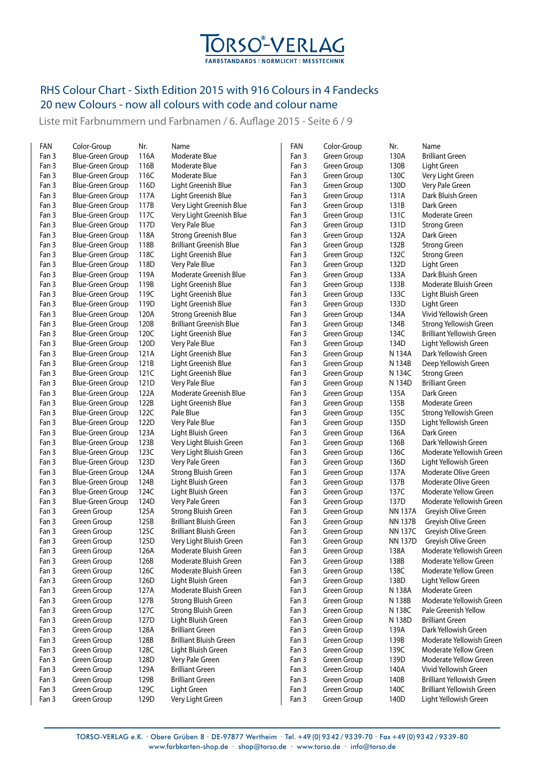

Liste mit Farbnummern und Farbnamen / 6. Auflage 2015 - Seite 6 / 9

| FAN   | Color-Group             | Nr.  | Name                           | FAN   | Color-Group | Nr.            | Name                             |
|-------|-------------------------|------|--------------------------------|-------|-------------|----------------|----------------------------------|
| Fan 3 | <b>Blue-Green Group</b> | 116A | Moderate Blue                  | Fan 3 | Green Group | 130A           | <b>Brilliant Green</b>           |
| Fan 3 | <b>Blue-Green Group</b> | 116B | Moderate Blue                  | Fan 3 | Green Group | 130B           | Light Green                      |
| Fan 3 | <b>Blue-Green Group</b> | 116C | Moderate Blue                  | Fan 3 | Green Group | 130C           | Very Light Green                 |
| Fan 3 | Blue-Green Group        | 116D | Light Greenish Blue            | Fan 3 | Green Group | 130D           | Very Pale Green                  |
| Fan 3 | <b>Blue-Green Group</b> | 117A | Light Greenish Blue            | Fan 3 | Green Group | 131A           | Dark Bluish Green                |
| Fan 3 | <b>Blue-Green Group</b> | 117B | Very Light Greenish Blue       | Fan 3 | Green Group | 131B           | Dark Green                       |
| Fan 3 | Blue-Green Group        | 117C | Very Light Greenish Blue       | Fan 3 | Green Group | 131C           | Moderate Green                   |
| Fan 3 | <b>Blue-Green Group</b> | 117D | Very Pale Blue                 | Fan 3 | Green Group | 131D           | <b>Strong Green</b>              |
| Fan 3 | <b>Blue-Green Group</b> | 118A | <b>Strong Greenish Blue</b>    | Fan 3 | Green Group | 132A           | Dark Green                       |
| Fan 3 | <b>Blue-Green Group</b> | 118B | <b>Brilliant Greenish Blue</b> | Fan 3 | Green Group | 132B           | <b>Strong Green</b>              |
| Fan 3 | <b>Blue-Green Group</b> | 118C | Light Greenish Blue            | Fan 3 | Green Group | 132C           | <b>Strong Green</b>              |
| Fan 3 | <b>Blue-Green Group</b> | 118D | Very Pale Blue                 | Fan 3 | Green Group | 132D           | Light Green                      |
| Fan 3 | <b>Blue-Green Group</b> | 119A | Moderate Greenish Blue         | Fan 3 | Green Group | 133A           | Dark Bluish Green                |
| Fan 3 | Blue-Green Group        | 119B | Light Greenish Blue            | Fan 3 | Green Group | 133B           | Moderate Bluish Green            |
| Fan 3 | Blue-Green Group        | 119C | Light Greenish Blue            | Fan 3 | Green Group | 133C           | Light Bluish Green               |
| Fan 3 | <b>Blue-Green Group</b> | 119D | Light Greenish Blue            | Fan 3 | Green Group | 133D           | Light Green                      |
| Fan 3 | <b>Blue-Green Group</b> | 120A | <b>Strong Greenish Blue</b>    | Fan 3 | Green Group | 134A           | Vivid Yellowish Green            |
| Fan 3 | <b>Blue-Green Group</b> | 120B | <b>Brilliant Greenish Blue</b> | Fan 3 | Green Group | 134B           | Strong Yellowish Green           |
| Fan 3 | <b>Blue-Green Group</b> | 120C | Light Greenish Blue            | Fan 3 | Green Group | 134C           | Brilliant Yellowish Green        |
| Fan 3 | <b>Blue-Green Group</b> | 120D | Very Pale Blue                 | Fan 3 | Green Group | 134D           | Light Yellowish Green            |
| Fan 3 | <b>Blue-Green Group</b> | 121A | Light Greenish Blue            | Fan 3 | Green Group | N 134A         | Dark Yellowish Green             |
| Fan 3 | <b>Blue-Green Group</b> | 121B | Light Greenish Blue            | Fan 3 | Green Group | N 134B         | Deep Yellowish Green             |
| Fan 3 | <b>Blue-Green Group</b> | 121C | Light Greenish Blue            | Fan 3 | Green Group | N 134C         | <b>Strong Green</b>              |
| Fan 3 | <b>Blue-Green Group</b> | 121D | Very Pale Blue                 | Fan 3 | Green Group | N 134D         | <b>Brilliant Green</b>           |
| Fan 3 | <b>Blue-Green Group</b> | 122A | Moderate Greenish Blue         | Fan 3 | Green Group | 135A           | Dark Green                       |
| Fan 3 | <b>Blue-Green Group</b> | 122B | Light Greenish Blue            | Fan 3 | Green Group | 135B           | Moderate Green                   |
| Fan 3 | <b>Blue-Green Group</b> | 122C | Pale Blue                      | Fan 3 | Green Group | 135C           | Strong Yellowish Green           |
| Fan 3 | <b>Blue-Green Group</b> | 122D | Very Pale Blue                 | Fan 3 | Green Group | 135D           | Light Yellowish Green            |
| Fan 3 | <b>Blue-Green Group</b> | 123A | Light Bluish Green             | Fan 3 | Green Group | 136A           | Dark Green                       |
| Fan 3 | <b>Blue-Green Group</b> | 123B | Very Light Bluish Green        | Fan 3 | Green Group | 136B           | Dark Yellowish Green             |
| Fan 3 | <b>Blue-Green Group</b> | 123C | Very Light Bluish Green        | Fan 3 | Green Group | 136C           | Moderate Yellowish Green         |
| Fan 3 | <b>Blue-Green Group</b> | 123D | Very Pale Green                | Fan 3 | Green Group | 136D           | Light Yellowish Green            |
| Fan 3 | <b>Blue-Green Group</b> | 124A | Strong Bluish Green            | Fan 3 | Green Group | 137A           | Moderate Olive Green             |
| Fan 3 | <b>Blue-Green Group</b> | 124B | Light Bluish Green             | Fan 3 | Green Group | 137B           | Moderate Olive Green             |
| Fan 3 | Blue-Green Group        | 124C | Light Bluish Green             | Fan 3 | Green Group | 137C           | Moderate Yellow Green            |
| Fan 3 | <b>Blue-Green Group</b> | 124D | Very Pale Green                | Fan 3 | Green Group | 137D           | Moderate Yellowish Green         |
| Fan 3 | Green Group             | 125A | <b>Strong Bluish Green</b>     | Fan 3 | Green Group | <b>NN 137A</b> | Greyish Olive Green              |
| Fan 3 | Green Group             | 125B | <b>Brilliant Bluish Green</b>  | Fan 3 | Green Group | <b>NN 137B</b> | Greyish Olive Green              |
| Fan 3 | Green Group             | 125C | <b>Brilliant Bluish Green</b>  | Fan 3 | Green Group | <b>NN 137C</b> | Greyish Olive Green              |
| Fan 3 | Green Group             | 125D | Very Light Bluish Green        | Fan 3 | Green Group | <b>NN 137D</b> | Greyish Olive Green              |
| Fan 3 | Green Group             | 126A | Moderate Bluish Green          | Fan 3 | Green Group | 138A           | Moderate Yellowish Green         |
| Fan 3 | Green Group             | 126B | Moderate Bluish Green          | Fan 3 | Green Group | 138B           | Moderate Yellow Green            |
| Fan 3 | Green Group             | 126C | Moderate Bluish Green          | Fan 3 | Green Group | 138C           | <b>Moderate Yellow Green</b>     |
| Fan 3 | Green Group             | 126D | Light Bluish Green             | Fan 3 | Green Group | 138D           | Light Yellow Green               |
| Fan 3 | Green Group             | 127A | Moderate Bluish Green          | Fan 3 | Green Group | N 138A         | Moderate Green                   |
| Fan 3 | Green Group             | 127B | <b>Strong Bluish Green</b>     | Fan 3 | Green Group | N 138B         | Moderate Yellowish Green         |
| Fan 3 | Green Group             | 127C | Strong Bluish Green            | Fan 3 | Green Group | N 138C         | Pale Greenish Yellow             |
| Fan 3 | Green Group             | 127D | Light Bluish Green             | Fan 3 | Green Group | N 138D         | <b>Brilliant Green</b>           |
| Fan 3 | Green Group             | 128A | <b>Brilliant Green</b>         | Fan 3 | Green Group | 139A           | Dark Yellowish Green             |
| Fan 3 | Green Group             | 128B | <b>Brilliant Bluish Green</b>  | Fan 3 | Green Group | 139B           | Moderate Yellowish Green         |
| Fan 3 | Green Group             | 128C | Light Bluish Green             | Fan 3 | Green Group | 139C           | Moderate Yellow Green            |
| Fan 3 | Green Group             | 128D | Very Pale Green                | Fan 3 | Green Group | 139D           | Moderate Yellow Green            |
| Fan 3 | Green Group             | 129A | <b>Brilliant Green</b>         | Fan 3 | Green Group | 140A           | Vivid Yellowish Green            |
| Fan 3 | Green Group             | 129B | <b>Brilliant Green</b>         | Fan 3 | Green Group | 140B           | <b>Brilliant Yellowish Green</b> |
| Fan 3 | Green Group             | 129C | Light Green                    | Fan 3 | Green Group | 140C           | <b>Brilliant Yellowish Green</b> |
| Fan 3 | Green Group             | 129D | Very Light Green               | Fan 3 | Green Group | 140D           | Light Yellowish Green            |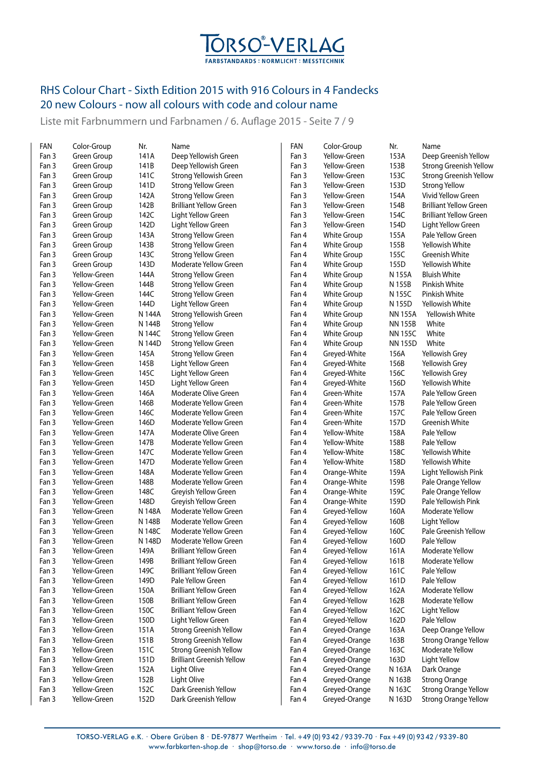

Liste mit Farbnummern und Farbnamen / 6. Auflage 2015 - Seite 7 / 9

| FAN   | Color-Group  | Nr.    | Name                             | FAN   | Color-Group        | Nr.            | Name                          |
|-------|--------------|--------|----------------------------------|-------|--------------------|----------------|-------------------------------|
| Fan 3 | Green Group  | 141A   | Deep Yellowish Green             | Fan 3 | Yellow-Green       | 153A           | Deep Greenish Yellow          |
| Fan 3 | Green Group  | 141B   | Deep Yellowish Green             | Fan 3 | Yellow-Green       | 153B           | <b>Strong Greenish Yellow</b> |
| Fan 3 | Green Group  | 141C   | Strong Yellowish Green           | Fan 3 | Yellow-Green       | 153C           | <b>Strong Greenish Yellow</b> |
| Fan 3 | Green Group  | 141D   | <b>Strong Yellow Green</b>       | Fan 3 | Yellow-Green       | 153D           | <b>Strong Yellow</b>          |
| Fan 3 | Green Group  | 142A   | <b>Strong Yellow Green</b>       | Fan 3 | Yellow-Green       | 154A           | Vivid Yellow Green            |
| Fan 3 | Green Group  | 142B   | <b>Brilliant Yellow Green</b>    | Fan 3 | Yellow-Green       | 154B           | <b>Brilliant Yellow Green</b> |
| Fan 3 | Green Group  | 142C   | Light Yellow Green               | Fan 3 | Yellow-Green       | 154C           | <b>Brilliant Yellow Green</b> |
| Fan 3 | Green Group  | 142D   | Light Yellow Green               | Fan 3 | Yellow-Green       | 154D           | Light Yellow Green            |
| Fan 3 | Green Group  | 143A   | <b>Strong Yellow Green</b>       | Fan 4 | White Group        | 155A           | Pale Yellow Green             |
| Fan 3 | Green Group  | 143B   | <b>Strong Yellow Green</b>       | Fan 4 | White Group        | 155B           | Yellowish White               |
| Fan 3 | Green Group  | 143C   | <b>Strong Yellow Green</b>       | Fan 4 | <b>White Group</b> | 155C           | Greenish White                |
| Fan 3 | Green Group  | 143D   | Moderate Yellow Green            | Fan 4 | White Group        | 155D           | Yellowish White               |
| Fan 3 | Yellow-Green | 144A   | <b>Strong Yellow Green</b>       | Fan 4 | <b>White Group</b> | N 155A         | <b>Bluish White</b>           |
| Fan 3 | Yellow-Green | 144B   | <b>Strong Yellow Green</b>       | Fan 4 | White Group        | N 155B         | Pinkish White                 |
| Fan 3 | Yellow-Green | 144C   | <b>Strong Yellow Green</b>       | Fan 4 | White Group        | N 155C         | Pinkish White                 |
| Fan 3 | Yellow-Green | 144D   | Light Yellow Green               | Fan 4 | <b>White Group</b> | N 155D         | Yellowish White               |
| Fan 3 | Yellow-Green | N 144A | Strong Yellowish Green           | Fan 4 | <b>White Group</b> | <b>NN 155A</b> | Yellowish White               |
| Fan 3 | Yellow-Green | N 144B | <b>Strong Yellow</b>             | Fan 4 | <b>White Group</b> | <b>NN155B</b>  | White                         |
| Fan 3 | Yellow-Green | N 144C | <b>Strong Yellow Green</b>       | Fan 4 | White Group        | <b>NN155C</b>  | White                         |
| Fan 3 | Yellow-Green | N 144D | <b>Strong Yellow Green</b>       | Fan 4 | <b>White Group</b> | <b>NN155D</b>  | White                         |
| Fan 3 | Yellow-Green | 145A   | <b>Strong Yellow Green</b>       | Fan 4 | Greyed-White       | 156A           | Yellowish Grey                |
| Fan 3 | Yellow-Green | 145B   | Light Yellow Green               | Fan 4 | Greyed-White       | 156B           | Yellowish Grey                |
| Fan 3 | Yellow-Green | 145C   | Light Yellow Green               | Fan 4 | Greyed-White       | 156C           | Yellowish Grey                |
| Fan 3 | Yellow-Green | 145D   | Light Yellow Green               | Fan 4 | Greyed-White       | 156D           | Yellowish White               |
| Fan 3 | Yellow-Green | 146A   | Moderate Olive Green             | Fan 4 | Green-White        | 157A           | Pale Yellow Green             |
| Fan 3 | Yellow-Green | 146B   | Moderate Yellow Green            | Fan 4 | Green-White        | 157B           | Pale Yellow Green             |
| Fan 3 | Yellow-Green | 146C   | Moderate Yellow Green            | Fan 4 | Green-White        | 157C           | Pale Yellow Green             |
| Fan 3 | Yellow-Green | 146D   | Moderate Yellow Green            | Fan 4 | Green-White        | 157D           | Greenish White                |
| Fan 3 | Yellow-Green | 147A   | Moderate Olive Green             | Fan 4 | Yellow-White       | 158A           | Pale Yellow                   |
| Fan 3 | Yellow-Green | 147B   | Moderate Yellow Green            | Fan 4 | Yellow-White       | 158B           | Pale Yellow                   |
| Fan 3 | Yellow-Green | 147C   | Moderate Yellow Green            | Fan 4 | Yellow-White       | 158C           | Yellowish White               |
| Fan 3 | Yellow-Green | 147D   | Moderate Yellow Green            | Fan 4 | Yellow-White       | 158D           | Yellowish White               |
| Fan 3 | Yellow-Green | 148A   | Moderate Yellow Green            | Fan 4 |                    | 159A           |                               |
|       | Yellow-Green |        | Moderate Yellow Green            |       | Orange-White       | 159B           | Light Yellowish Pink          |
| Fan 3 |              | 148B   |                                  | Fan 4 | Orange-White       |                | Pale Orange Yellow            |
| Fan 3 | Yellow-Green | 148C   | Greyish Yellow Green             | Fan 4 | Orange-White       | 159C           | Pale Orange Yellow            |
| Fan 3 | Yellow-Green | 148D   | Greyish Yellow Green             | Fan 4 | Orange-White       | 159D           | Pale Yellowish Pink           |
| Fan 3 | Yellow-Green | N 148A | Moderate Yellow Green            | Fan 4 | Greyed-Yellow      | 160A           | Moderate Yellow               |
| Fan 3 | Yellow-Green | N 148B | <b>Moderate Yellow Green</b>     | Fan 4 | Greyed-Yellow      | 160B           | Light Yellow                  |
| Fan 3 | Yellow-Green | N 148C | Moderate Yellow Green            | Fan 4 | Greyed-Yellow      | 160C           | Pale Greenish Yellow          |
| Fan 3 | Yellow-Green | N 148D | Moderate Yellow Green            | Fan 4 | Greyed-Yellow      | 160D           | Pale Yellow                   |
| Fan 3 | Yellow-Green | 149A   | <b>Brilliant Yellow Green</b>    | Fan 4 | Greyed-Yellow      | 161A           | Moderate Yellow               |
| Fan 3 | Yellow-Green | 149B   | <b>Brilliant Yellow Green</b>    | Fan 4 | Greyed-Yellow      | 161B           | Moderate Yellow               |
| Fan 3 | Yellow-Green | 149C   | <b>Brilliant Yellow Green</b>    | Fan 4 | Greyed-Yellow      | 161C           | Pale Yellow                   |
| Fan 3 | Yellow-Green | 149D   | Pale Yellow Green                | Fan 4 | Greyed-Yellow      | 161D           | Pale Yellow                   |
| Fan 3 | Yellow-Green | 150A   | <b>Brilliant Yellow Green</b>    | Fan 4 | Greyed-Yellow      | 162A           | Moderate Yellow               |
| Fan 3 | Yellow-Green | 150B   | <b>Brilliant Yellow Green</b>    | Fan 4 | Greyed-Yellow      | 162B           | Moderate Yellow               |
| Fan 3 | Yellow-Green | 150C   | <b>Brilliant Yellow Green</b>    | Fan 4 | Greyed-Yellow      | 162C           | Light Yellow                  |
| Fan 3 | Yellow-Green | 150D   | Light Yellow Green               | Fan 4 | Greyed-Yellow      | 162D           | Pale Yellow                   |
| Fan 3 | Yellow-Green | 151A   | <b>Strong Greenish Yellow</b>    | Fan 4 | Greyed-Orange      | 163A           | Deep Orange Yellow            |
| Fan 3 | Yellow-Green | 151B   | <b>Strong Greenish Yellow</b>    | Fan 4 | Greyed-Orange      | 163B           | <b>Strong Orange Yellow</b>   |
| Fan 3 | Yellow-Green | 151C   | <b>Strong Greenish Yellow</b>    | Fan 4 | Greyed-Orange      | 163C           | Moderate Yellow               |
| Fan 3 | Yellow-Green | 151D   | <b>Brilliant Greenish Yellow</b> | Fan 4 | Greyed-Orange      | 163D           | Light Yellow                  |
| Fan 3 | Yellow-Green | 152A   | Light Olive                      | Fan 4 | Greyed-Orange      | N 163A         | Dark Orange                   |
| Fan 3 | Yellow-Green | 152B   | Light Olive                      | Fan 4 | Greyed-Orange      | N 163B         | <b>Strong Orange</b>          |
| Fan 3 | Yellow-Green | 152C   | Dark Greenish Yellow             | Fan 4 | Greyed-Orange      | N 163C         | <b>Strong Orange Yellow</b>   |
| Fan 3 | Yellow-Green | 152D   | Dark Greenish Yellow             | Fan 4 | Greyed-Orange      | N 163D         | <b>Strong Orange Yellow</b>   |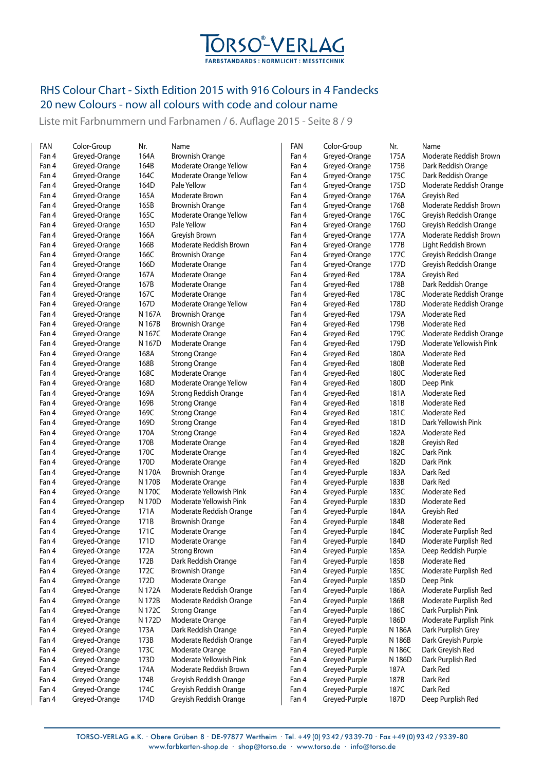

Liste mit Farbnummern und Farbnamen / 6. Auflage 2015 - Seite 8 / 9

| FAN   | Color-Group    | Nr.    | Name                    | FAN   | Color-Group   | Nr.    | Name                    |
|-------|----------------|--------|-------------------------|-------|---------------|--------|-------------------------|
| Fan 4 | Greyed-Orange  | 164A   | <b>Brownish Orange</b>  | Fan 4 | Greyed-Orange | 175A   | Moderate Reddish Brown  |
| Fan 4 | Greyed-Orange  | 164B   | Moderate Orange Yellow  | Fan 4 | Greyed-Orange | 175B   | Dark Reddish Orange     |
| Fan 4 | Greyed-Orange  | 164C   | Moderate Orange Yellow  | Fan 4 | Greyed-Orange | 175C   | Dark Reddish Orange     |
| Fan 4 | Greyed-Orange  | 164D   | Pale Yellow             | Fan 4 | Greyed-Orange | 175D   | Moderate Reddish Orange |
| Fan 4 | Greyed-Orange  | 165A   | Moderate Brown          | Fan 4 | Greyed-Orange | 176A   | Greyish Red             |
| Fan 4 | Greyed-Orange  | 165B   | <b>Brownish Orange</b>  | Fan 4 | Greyed-Orange | 176B   | Moderate Reddish Brown  |
| Fan 4 | Greyed-Orange  | 165C   | Moderate Orange Yellow  | Fan 4 | Greyed-Orange | 176C   | Greyish Reddish Orange  |
| Fan 4 | Greyed-Orange  | 165D   | Pale Yellow             | Fan 4 | Greyed-Orange | 176D   | Greyish Reddish Orange  |
| Fan 4 | Greyed-Orange  | 166A   | Greyish Brown           | Fan 4 | Greyed-Orange | 177A   | Moderate Reddish Brown  |
| Fan 4 | Greyed-Orange  | 166B   | Moderate Reddish Brown  | Fan 4 | Greyed-Orange | 177B   | Light Reddish Brown     |
| Fan 4 | Greyed-Orange  | 166C   | <b>Brownish Orange</b>  | Fan 4 | Greyed-Orange | 177C   | Greyish Reddish Orange  |
| Fan 4 | Greyed-Orange  | 166D   | Moderate Orange         | Fan 4 | Greyed-Orange | 177D   | Greyish Reddish Orange  |
| Fan 4 | Greyed-Orange  | 167A   | Moderate Orange         | Fan 4 | Greyed-Red    | 178A   | Greyish Red             |
| Fan 4 | Greyed-Orange  | 167B   | Moderate Orange         | Fan 4 | Greyed-Red    | 178B   | Dark Reddish Orange     |
| Fan 4 | Greyed-Orange  | 167C   | Moderate Orange         | Fan 4 | Greyed-Red    | 178C   | Moderate Reddish Orange |
| Fan 4 | Greyed-Orange  | 167D   | Moderate Orange Yellow  | Fan 4 | Greyed-Red    | 178D   | Moderate Reddish Orange |
| Fan 4 | Greyed-Orange  | N 167A | <b>Brownish Orange</b>  | Fan 4 | Greyed-Red    | 179A   | Moderate Red            |
| Fan 4 | Greyed-Orange  | N 167B | <b>Brownish Orange</b>  | Fan 4 | Greyed-Red    | 179B   | Moderate Red            |
| Fan 4 | Greyed-Orange  | N 167C | Moderate Orange         | Fan 4 | Greyed-Red    | 179C   | Moderate Reddish Orange |
| Fan 4 | Greyed-Orange  | N 167D | Moderate Orange         | Fan 4 | Greyed-Red    | 179D   | Moderate Yellowish Pink |
| Fan 4 | Greyed-Orange  | 168A   | <b>Strong Orange</b>    | Fan 4 | Greyed-Red    | 180A   | Moderate Red            |
| Fan 4 | Greyed-Orange  | 168B   | <b>Strong Orange</b>    | Fan 4 | Greyed-Red    | 180B   | Moderate Red            |
| Fan 4 | Greyed-Orange  | 168C   | Moderate Orange         | Fan 4 | Greyed-Red    | 180C   | Moderate Red            |
| Fan 4 | Greyed-Orange  | 168D   | Moderate Orange Yellow  | Fan 4 | Greyed-Red    | 180D   | Deep Pink               |
| Fan 4 | Greyed-Orange  | 169A   | Strong Reddish Orange   | Fan 4 | Greyed-Red    | 181A   | Moderate Red            |
| Fan 4 | Greyed-Orange  | 169B   | <b>Strong Orange</b>    | Fan 4 | Greyed-Red    | 181B   | Moderate Red            |
| Fan 4 | Greyed-Orange  | 169C   | <b>Strong Orange</b>    | Fan 4 | Greyed-Red    | 181C   | Moderate Red            |
| Fan 4 | Greyed-Orange  | 169D   | <b>Strong Orange</b>    | Fan 4 | Greyed-Red    | 181D   | Dark Yellowish Pink     |
| Fan 4 | Greyed-Orange  | 170A   | <b>Strong Orange</b>    | Fan 4 | Greyed-Red    | 182A   | Moderate Red            |
| Fan 4 | Greyed-Orange  | 170B   | Moderate Orange         | Fan 4 | Greyed-Red    | 182B   | Greyish Red             |
| Fan 4 | Greyed-Orange  | 170C   | Moderate Orange         | Fan 4 | Greyed-Red    | 182C   | Dark Pink               |
| Fan 4 | Greyed-Orange  | 170D   | Moderate Orange         | Fan 4 | Greyed-Red    | 182D   | Dark Pink               |
| Fan 4 | Greyed-Orange  | N 170A | <b>Brownish Orange</b>  | Fan 4 | Greyed-Purple | 183A   | Dark Red                |
| Fan 4 | Greyed-Orange  | N 170B | Moderate Orange         | Fan 4 | Greyed-Purple | 183B   | Dark Red                |
| Fan 4 | Greyed-Orange  | N 170C | Moderate Yellowish Pink | Fan 4 | Greyed-Purple | 183C   | Moderate Red            |
| Fan 4 | Greyed-Orangep | N 170D | Moderate Yellowish Pink | Fan 4 | Greyed-Purple | 183D   | Moderate Red            |
| Fan 4 | Greyed-Orange  | 171A   | Moderate Reddish Orange | Fan 4 | Greyed-Purple | 184A   | Greyish Red             |
| Fan 4 | Greyed-Orange  | 171B   | <b>Brownish Orange</b>  | Fan 4 | Greyed-Purple | 184B   | Moderate Red            |
| Fan 4 | Greyed-Orange  | 171C   | Moderate Orange         | Fan 4 | Greyed-Purple | 184C   | Moderate Purplish Red   |
| Fan 4 | Greyed-Orange  | 171D   | Moderate Orange         | Fan 4 | Greyed-Purple | 184D   | Moderate Purplish Red   |
| Fan 4 | Greyed-Orange  | 172A   | <b>Strong Brown</b>     | Fan 4 | Greyed-Purple | 185A   | Deep Reddish Purple     |
| Fan 4 | Greyed-Orange  | 172B   | Dark Reddish Orange     | Fan 4 | Greyed-Purple | 185B   | Moderate Red            |
| Fan 4 | Greyed-Orange  | 172C   | <b>Brownish Orange</b>  | Fan 4 | Greyed-Purple | 185C   | Moderate Purplish Red   |
| Fan 4 | Greyed-Orange  | 172D   | Moderate Orange         | Fan 4 | Greyed-Purple | 185D   | Deep Pink               |
| Fan 4 | Greyed-Orange  | N 172A | Moderate Reddish Orange | Fan 4 | Greyed-Purple | 186A   | Moderate Purplish Red   |
| Fan 4 | Greyed-Orange  | N 172B | Moderate Reddish Orange | Fan 4 | Greyed-Purple | 186B   | Moderate Purplish Red   |
| Fan 4 | Greyed-Orange  | N 172C | <b>Strong Orange</b>    | Fan 4 | Greyed-Purple | 186C   | Dark Purplish Pink      |
| Fan 4 | Greyed-Orange  | N 172D | Moderate Orange         | Fan 4 | Greyed-Purple | 186D   | Moderate Purplish Pink  |
| Fan 4 | Greyed-Orange  | 173A   | Dark Reddish Orange     | Fan 4 | Greyed-Purple | N 186A | Dark Purplish Grey      |
| Fan 4 | Greyed-Orange  | 173B   | Moderate Reddish Orange | Fan 4 | Greyed-Purple | N 186B | Dark Greyish Purple     |
| Fan 4 | Greyed-Orange  | 173C   | Moderate Orange         | Fan 4 | Greyed-Purple | N 186C | Dark Greyish Red        |
| Fan 4 | Greyed-Orange  | 173D   | Moderate Yellowish Pink | Fan 4 | Greyed-Purple | N 186D | Dark Purplish Red       |
| Fan 4 | Greyed-Orange  | 174A   | Moderate Reddish Brown  | Fan 4 | Greyed-Purple | 187A   | Dark Red                |
| Fan 4 | Greyed-Orange  | 174B   | Greyish Reddish Orange  | Fan 4 | Greyed-Purple | 187B   | Dark Red                |
| Fan 4 | Greyed-Orange  | 174C   | Greyish Reddish Orange  | Fan 4 | Greyed-Purple | 187C   | Dark Red                |
| Fan 4 | Greyed-Orange  | 174D   | Greyish Reddish Orange  | Fan 4 | Greyed-Purple | 187D   | Deep Purplish Red       |
|       |                |        |                         |       |               |        |                         |